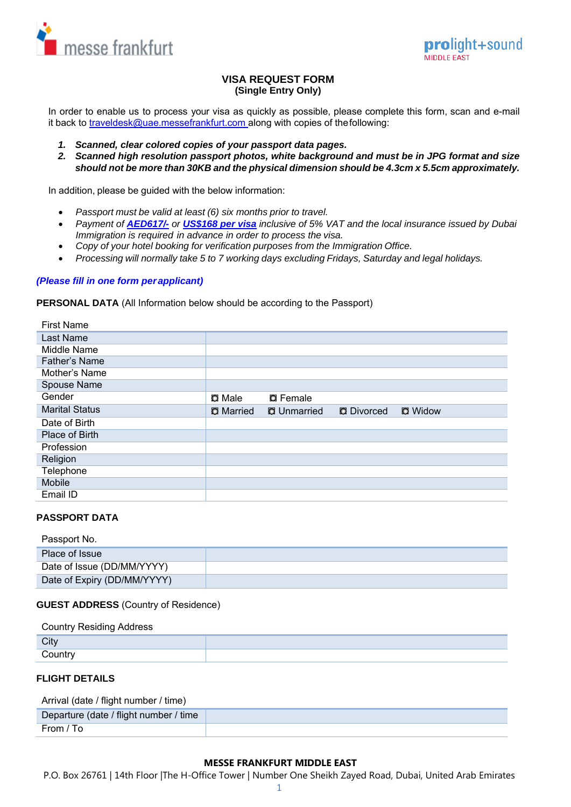



## **VISA REQUEST FORM (Single Entry Only)**

In order to enable us to process your visa as quickly as possible, please complete this form, scan and e-mail it back to [traveldesk@uae.messefrankfurt.com](mailto:traveldesk@uae.messefrankfurt.com) along with copies of the following:

- *1. Scanned, clear colored copies of your passport data pages.*
- *2. Scanned high resolution passport photos, white background and must be in JPG format and size should not be more than 30KB and the physical dimension should be 4.3cm x 5.5cm approximately.*

In addition, please be guided with the below information:

- *Passport must be valid at least (6) six months prior to travel.*
- *Payment of AED617/- or US\$168 per visa inclusive of 5% VAT and the local insurance issued by Dubai Immigration is required in advance in order to process the visa.*
- *Copy of your hotel booking for verification purposes from the Immigration Office.*
- *Processing will normally take 5 to 7 working days excluding Fridays, Saturday and legal holidays.*

### *(Please fill in one form per applicant)*

### **PERSONAL DATA** (All Information below should be according to the Passport)

| <b>First Name</b>     |                  |                    |                   |                |
|-----------------------|------------------|--------------------|-------------------|----------------|
| Last Name             |                  |                    |                   |                |
| Middle Name           |                  |                    |                   |                |
| Father's Name         |                  |                    |                   |                |
| Mother's Name         |                  |                    |                   |                |
| Spouse Name           |                  |                    |                   |                |
| Gender                | <b>Q</b> Male    | <b>Q</b> Female    |                   |                |
| <b>Marital Status</b> | <b>Q</b> Married | <b>O</b> Unmarried | <b>D</b> Divorced | <b>D</b> Widow |
| Date of Birth         |                  |                    |                   |                |
| Place of Birth        |                  |                    |                   |                |
| Profession            |                  |                    |                   |                |
| Religion              |                  |                    |                   |                |
| Telephone             |                  |                    |                   |                |
| Mobile                |                  |                    |                   |                |
| Email ID              |                  |                    |                   |                |

## **PASSPORT DATA**

### Passport No.

| Place of Issue              |  |
|-----------------------------|--|
| Date of Issue (DD/MM/YYYY)  |  |
| Date of Expiry (DD/MM/YYYY) |  |

## **GUEST ADDRESS** (Country of Residence)

# Country Residing Address **City Country**

## **FLIGHT DETAILS**

Arrival (date / flight number / time)

| Departure (date / flight number / time |  |
|----------------------------------------|--|
| From / To                              |  |

## **MESSE FRANKFURT MIDDLE EAST**

P.O. Box 26761 | 14th Floor |The H-Office Tower | Number One Sheikh Zayed Road, Dubai, United Arab Emirates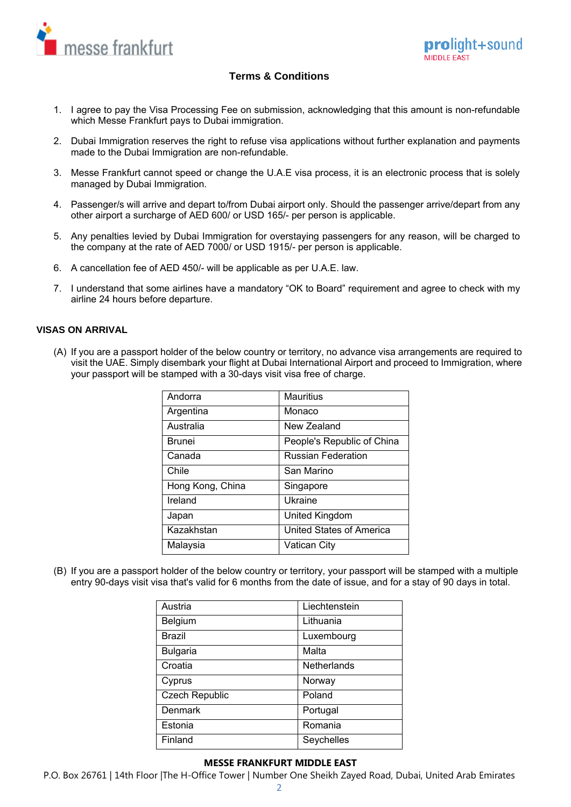

# **Terms & Conditions**

- 1. I agree to pay the Visa Processing Fee on submission, acknowledging that this amount is non-refundable which Messe Frankfurt pays to Dubai immigration.
- 2. Dubai Immigration reserves the right to refuse visa applications without further explanation and payments made to the Dubai Immigration are non-refundable.
- 3. Messe Frankfurt cannot speed or change the U.A.E visa process, it is an electronic process that is solely managed by Dubai Immigration.
- 4. Passenger/s will arrive and depart to/from Dubai airport only. Should the passenger arrive/depart from any other airport a surcharge of AED 600/ or USD 165/- per person is applicable.
- 5. Any penalties levied by Dubai Immigration for overstaying passengers for any reason, will be charged to the company at the rate of AED 7000/ or USD 1915/- per person is applicable.
- 6. A cancellation fee of AED 450/- will be applicable as per U.A.E. law.
- 7. I understand that some airlines have a mandatory "OK to Board" requirement and agree to check with my airline 24 hours before departure.

### **VISAS ON ARRIVAL**

(A) If you are a passport holder of the below country or territory, no advance visa arrangements are required to visit the UAE. Simply disembark your flight at Dubai International Airport and proceed to Immigration, where your passport will be stamped with a 30-days visit visa free of charge.

| Andorra          | <b>Mauritius</b>           |
|------------------|----------------------------|
| Argentina        | Monaco                     |
| Australia        | New Zealand                |
| <b>Brunei</b>    | People's Republic of China |
| Canada           | <b>Russian Federation</b>  |
| Chile            | San Marino                 |
| Hong Kong, China | Singapore                  |
| Ireland          | Ukraine                    |
| Japan            | United Kingdom             |
| Kazakhstan       | United States of America   |
| Malaysia         | Vatican City               |

(B) If you are a passport holder of the below country or territory, your passport will be stamped with a multiple entry 90-days visit visa that's valid for 6 months from the date of issue, and for a stay of 90 days in total.

| Austria               | Liechtenstein |
|-----------------------|---------------|
| Belgium               | Lithuania     |
| <b>Brazil</b>         | Luxembourg    |
| <b>Bulgaria</b>       | Malta         |
| Croatia               | Netherlands   |
| Cyprus                | Norway        |
| <b>Czech Republic</b> | Poland        |
| Denmark               | Portugal      |
| Estonia               | Romania       |
| Finland               | Seychelles    |

### **MESSE FRANKFURT MIDDLE EAST**

P.O. Box 26761 | 14th Floor |The H-Office Tower | Number One Sheikh Zayed Road, Dubai, United Arab Emirates